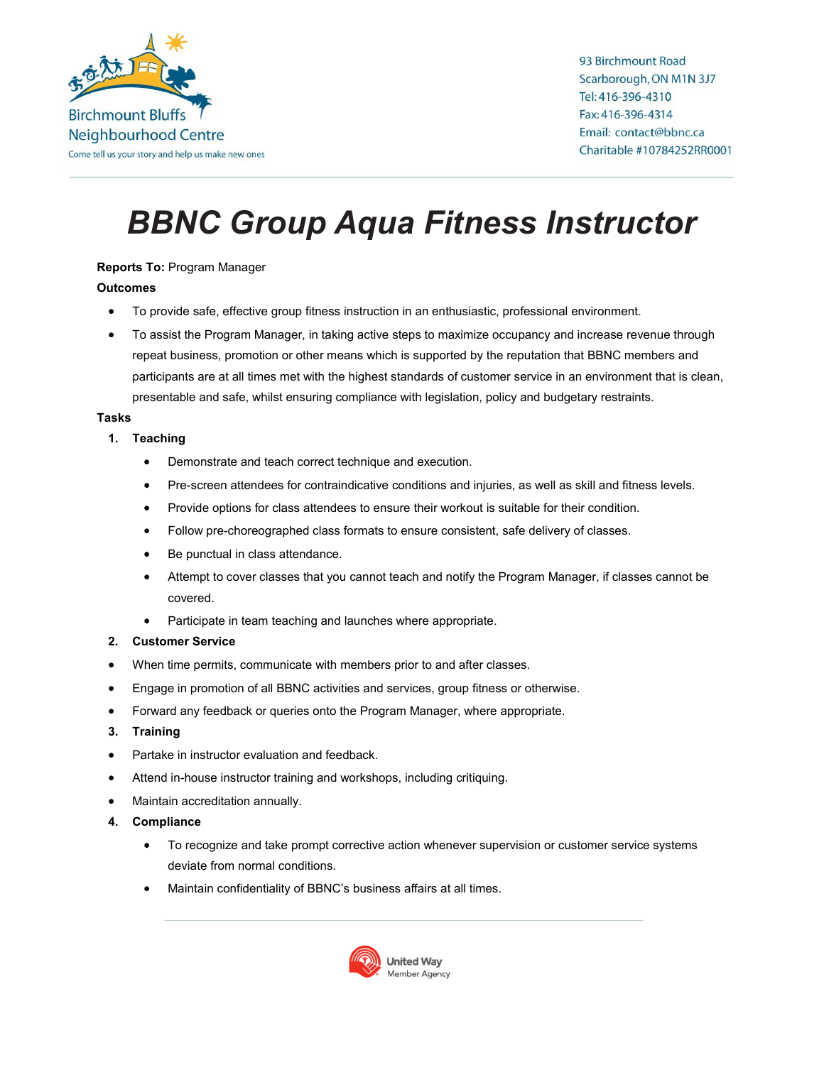

93 Birchmount Road Scarborough, ON M1N 3J7 Tel: 416-396-4310 Fax: 416-396-4314 Email: contact@bbnc.ca Charitable #10784252RR0001

# *BBNC Group Aqua Fitness Instructor*

## **Reports To:** Program Manager

### **Outcomes**

- To provide safe, effective group fitness instruction in an enthusiastic, professional environment.
- To assist the Program Manager, in taking active steps to maximize occupancy and increase revenue through repeat business, promotion or other means which is supported by the reputation that BBNC members and participants are at all times met with the highest standards of customer service in an environment that is clean, presentable and safe, whilst ensuring compliance with legislation, policy and budgetary restraints.

### **Tasks**

- **1. Teaching**
	- Demonstrate and teach correct technique and execution.
	- Pre-screen attendees for contraindicative conditions and injuries, as well as skill and fitness levels.
	- Provide options for class attendees to ensure their workout is suitable for their condition.
	- Follow pre-choreographed class formats to ensure consistent, safe delivery of classes.
	- Be punctual in class attendance.
	- Attempt to cover classes that you cannot teach and notify the Program Manager, if classes cannot be covered.
	- Participate in team teaching and launches where appropriate.

### **2. Customer Service**

- When time permits, communicate with members prior to and after classes.
- Engage in promotion of all BBNC activities and services, group fitness or otherwise.
- Forward any feedback or queries onto the Program Manager, where appropriate.
- **3. Training**
- Partake in instructor evaluation and feedback.
- Attend in-house instructor training and workshops, including critiquing.
- Maintain accreditation annually.
- **4. Compliance**
	- To recognize and take prompt corrective action whenever supervision or customer service systems deviate from normal conditions.
	- Maintain confidentiality of BBNC's business affairs at all times.